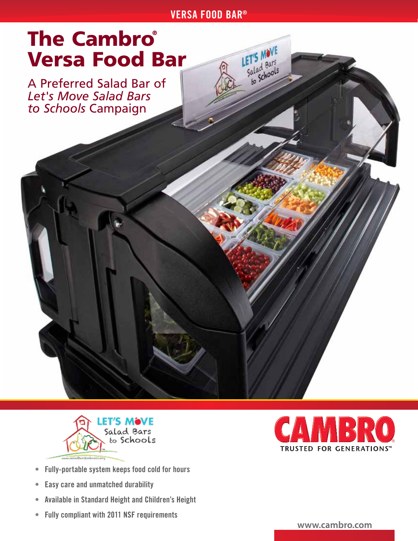#### VERSA FOOD BAR®

LET'S MOVE

Salad Bars<br>Salad Bars<br>to Schools

# **The Cambro®** Versa Food Bar

A Preferred Salad Bar of *Let's Move Salad Bars to Schools* Campaign



- Fully-portable system keeps food cold for hours
- Easy care and unmatched durability
- Available in Standard Height and Children's Height
- Fully compliant with 2011 NSF requirements



www.cambro.com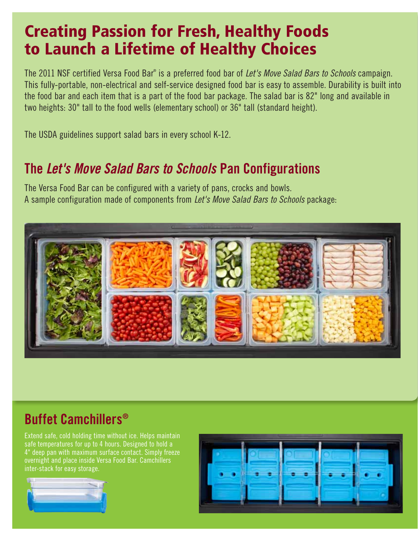## Creating Passion for Fresh, Healthy Foods to Launch a Lifetime of Healthy Choices

The 2011 NSF certified Versa Food Bar® is a preferred food bar of *Let's Move Salad Bars to Schools* campaign. This fully-portable, non-electrical and self-service designed food bar is easy to assemble. Durability is built into the food bar and each item that is a part of the food bar package. The salad bar is 82" long and available in two heights: 30" tall to the food wells (elementary school) or 36" tall (standard height).

The USDA guidelines support salad bars in every school K-12.

### The *Let's Move Salad Bars to Schools* Pan Configurations

The Versa Food Bar can be configured with a variety of pans, crocks and bowls. A sample configuration made of components from *Let's Move Salad Bars to Schools* package:



### Buffet Camchillers®

Extend safe, cold holding time without ice. Helps maintain safe temperatures for up to 4 hours. Designed to hold a 4" deep pan with maximum surface contact. Simply freeze overnight and place inside Versa Food Bar. Camchillers inter-stack for easy storage.



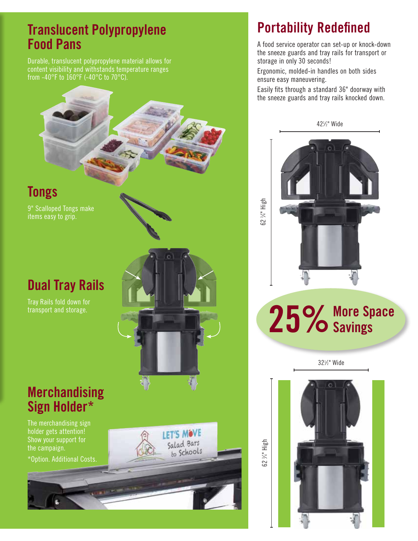#### Translucent Polypropylene Food Pans

Durable, translucent polypropylene material allows for content visibility and withstands temperature ranges from -40°F to 160°F (-40°C to 70°C).



Dual Tray Rails

Tray Rails fold down for

**Tongs** 

9" Scalloped Tongs make items easy to grip.

#### **Merchandising** Sign Holder\*

The merchandising sign holder gets attention! Show your support for the campaign.

\*Option. Additional Costs.

## **Portability Redefined**

A food service operator can set-up or knock-down the sneeze guards and tray rails for transport or storage in only 30 seconds!

Ergonomic, molded-in handles on both sides ensure easy maneuvering.

Easily fits through a standard 36" doorway with the sneeze guards and tray rails knocked down.



#### 62 ⁄4" High

25% More Space

321 ⁄2" Wide



LET'S MOVE Salad Bars to Schools